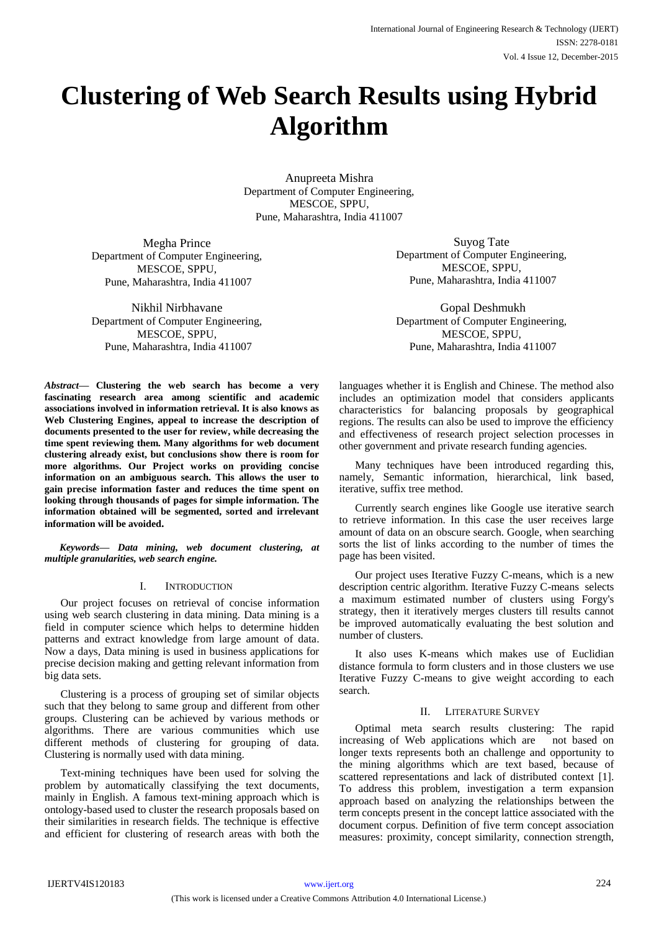# **Clustering of Web Search Results using Hybrid Algorithm**

Anupreeta Mishra Department of Computer Engineering, MESCOE, SPPU, Pune, Maharashtra, India 411007

Megha Prince Department of Computer Engineering, MESCOE, SPPU, Pune, Maharashtra, India 411007

Nikhil Nirbhavane Department of Computer Engineering, MESCOE, SPPU, Pune, Maharashtra, India 411007

*Abstract***— Clustering the web search has become a very fascinating research area among scientific and academic associations involved in information retrieval. It is also knows as Web Clustering Engines, appeal to increase the description of documents presented to the user for review, while decreasing the time spent reviewing them. Many algorithms for web document clustering already exist, but conclusions show there is room for more algorithms. Our Project works on providing concise information on an ambiguous search. This allows the user to gain precise information faster and reduces the time spent on looking through thousands of pages for simple information. The information obtained will be segmented, sorted and irrelevant information will be avoided.**

*Keywords— Data mining, web document clustering, at multiple granularities, web search engine.*

# I. INTRODUCTION

Our project focuses on retrieval of concise information using web search clustering in data mining. Data mining is a field in computer science which helps to determine hidden patterns and extract knowledge from large amount of data. Now a days, Data mining is used in business applications for precise decision making and getting relevant information from big data sets.

Clustering is a process of grouping set of similar objects such that they belong to same group and different from other groups. Clustering can be achieved by various methods or algorithms. There are various communities which use different methods of clustering for grouping of data. Clustering is normally used with data mining.

Text-mining techniques have been used for solving the problem by automatically classifying the text documents, mainly in English. A famous text-mining approach which is ontology-based used to cluster the research proposals based on their similarities in research fields. The technique is effective and efficient for clustering of research areas with both the

Suyog Tate Department of Computer Engineering, MESCOE, SPPU, Pune, Maharashtra, India 411007

Gopal Deshmukh Department of Computer Engineering, MESCOE, SPPU, Pune, Maharashtra, India 411007

languages whether it is English and Chinese. The method also includes an optimization model that considers applicants characteristics for balancing proposals by geographical regions. The results can also be used to improve the efficiency and effectiveness of research project selection processes in other government and private research funding agencies.

Many techniques have been introduced regarding this, namely, Semantic information, hierarchical, link based, iterative, suffix tree method.

Currently search engines like Google use iterative search to retrieve information. In this case the user receives large amount of data on an obscure search. Google, when searching sorts the list of links according to the number of times the page has been visited.

Our project uses Iterative Fuzzy C-means, which is a new description centric algorithm. Iterative Fuzzy C-means selects a maximum estimated number of clusters using Forgy's strategy, then it iteratively merges clusters till results cannot be improved automatically evaluating the best solution and number of clusters.

It also uses K-means which makes use of Euclidian distance formula to form clusters and in those clusters we use Iterative Fuzzy C-means to give weight according to each search.

## II. LITERATURE SURVEY

Optimal meta search results clustering: The rapid increasing of Web applications which are not based on longer texts represents both an challenge and opportunity to the mining algorithms which are text based, because of scattered representations and lack of distributed context [1]. To address this problem, investigation a term expansion approach based on analyzing the relationships between the term concepts present in the concept lattice associated with the document corpus. Definition of five term concept association measures: proximity, concept similarity, connection strength,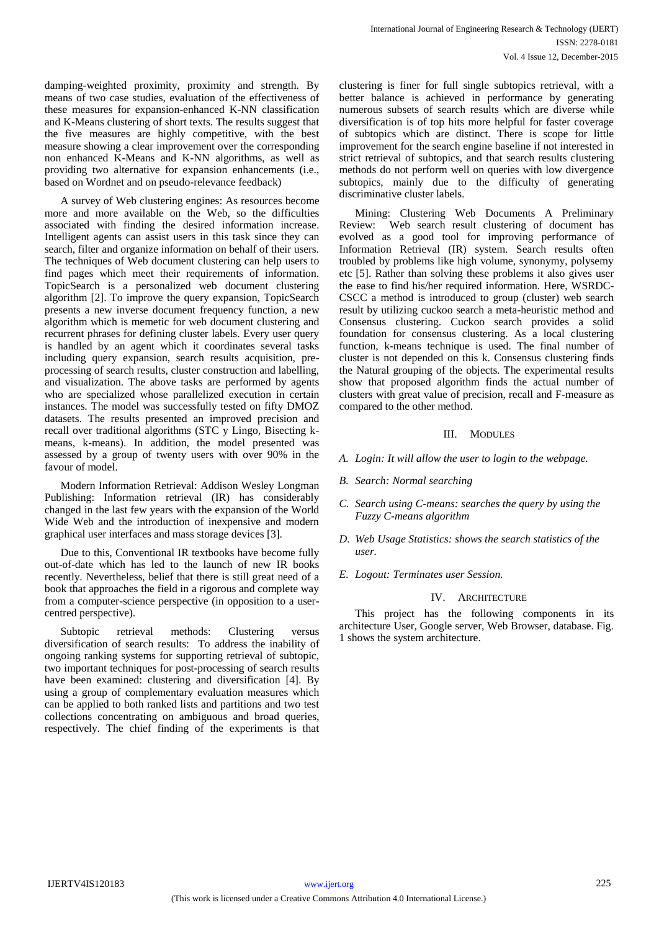damping-weighted proximity, proximity and strength. By means of two case studies, evaluation of the effectiveness of these measures for expansion-enhanced K-NN classification and K-Means clustering of short texts. The results suggest that the five measures are highly competitive, with the best measure showing a clear improvement over the corresponding non enhanced K-Means and K-NN algorithms, as well as providing two alternative for expansion enhancements (i.e., based on Wordnet and on pseudo-relevance feedback)

A survey of Web clustering engines: As resources become more and more available on the Web, so the difficulties associated with finding the desired information increase. Intelligent agents can assist users in this task since they can search, filter and organize information on behalf of their users. The techniques of Web document clustering can help users to find pages which meet their requirements of information. TopicSearch is a personalized web document clustering algorithm [2]. To improve the query expansion, TopicSearch presents a new inverse document frequency function, a new algorithm which is memetic for web document clustering and recurrent phrases for defining cluster labels. Every user query is handled by an agent which it coordinates several tasks including query expansion, search results acquisition, preprocessing of search results, cluster construction and labelling, and visualization. The above tasks are performed by agents who are specialized whose parallelized execution in certain instances. The model was successfully tested on fifty DMOZ datasets. The results presented an improved precision and recall over traditional algorithms (STC y Lingo, Bisecting kmeans, k-means). In addition, the model presented was assessed by a group of twenty users with over 90% in the favour of model.

Modern Information Retrieval: Addison Wesley Longman Publishing: Information retrieval (IR) has considerably changed in the last few years with the expansion of the World Wide Web and the introduction of inexpensive and modern graphical user interfaces and mass storage devices [3].

Due to this, Conventional IR textbooks have become fully out-of-date which has led to the launch of new IR books recently. Nevertheless, belief that there is still great need of a book that approaches the field in a rigorous and complete way from a computer-science perspective (in opposition to a usercentred perspective).

Subtopic retrieval methods: Clustering versus diversification of search results: To address the inability of ongoing ranking systems for supporting retrieval of subtopic, two important techniques for post-processing of search results have been examined: clustering and diversification [4]. By using a group of complementary evaluation measures which can be applied to both ranked lists and partitions and two test collections concentrating on ambiguous and broad queries, respectively. The chief finding of the experiments is that

clustering is finer for full single subtopics retrieval, with a better balance is achieved in performance by generating numerous subsets of search results which are diverse while diversification is of top hits more helpful for faster coverage of subtopics which are distinct. There is scope for little improvement for the search engine baseline if not interested in strict retrieval of subtopics, and that search results clustering methods do not perform well on queries with low divergence subtopics, mainly due to the difficulty of generating discriminative cluster labels.

Mining: Clustering Web Documents A Preliminary Review: Web search result clustering of document has evolved as a good tool for improving performance of Information Retrieval (IR) system. Search results often troubled by problems like high volume, synonymy, polysemy etc [5]. Rather than solving these problems it also gives user the ease to find his/her required information. Here, WSRDC-CSCC a method is introduced to group (cluster) web search result by utilizing cuckoo search a meta-heuristic method and Consensus clustering. Cuckoo search provides a solid foundation for consensus clustering. As a local clustering function, k-means technique is used. The final number of cluster is not depended on this k. Consensus clustering finds the Natural grouping of the objects. The experimental results show that proposed algorithm finds the actual number of clusters with great value of precision, recall and F-measure as compared to the other method.

### III. MODULES

- *A. Login: It will allow the user to login to the webpage.*
- *B. Search: Normal searching*
- *C. Search using C-means: searches the query by using the Fuzzy C-means algorithm*
- *D. Web Usage Statistics: shows the search statistics of the user.*
- *E. Logout: Terminates user Session.*

### IV. ARCHITECTURE

This project has the following components in its architecture User, Google server, Web Browser, database. Fig. 1 shows the system architecture.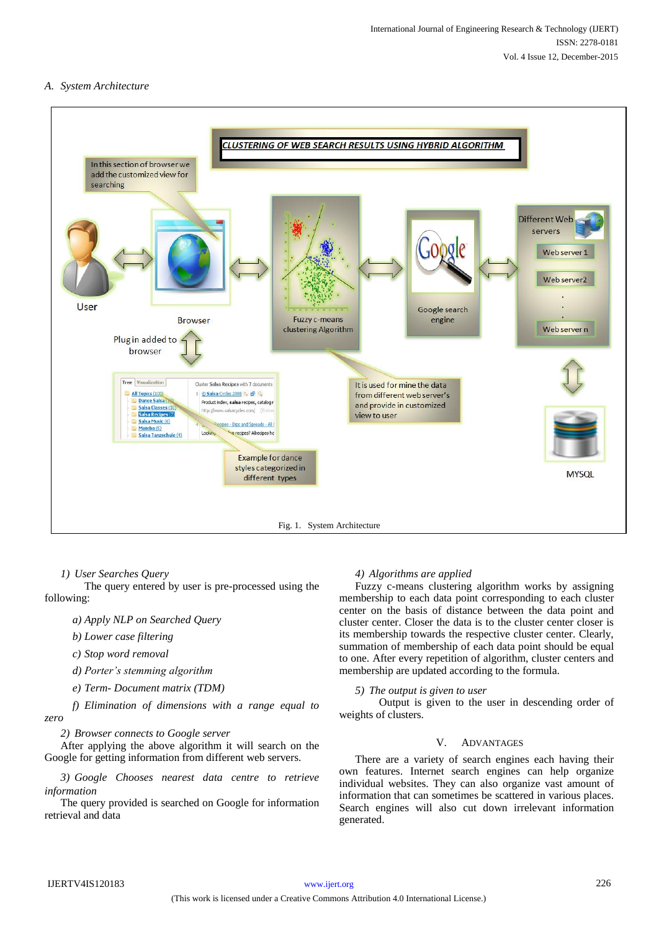# *A. System Architecture*



*1) User Searches Query*

The query entered by user is pre-processed using the following:

*a) Apply NLP on Searched Query*

*b) Lower case filtering*

*c) Stop word removal*

*d) Porter's stemming algorithm*

*e) Term- Document matrix (TDM)* 

*f) Elimination of dimensions with a range equal to zero*

*2) Browser connects to Google server*

After applying the above algorithm it will search on the Google for getting information from different web servers.

*3) Google Chooses nearest data centre to retrieve information*

The query provided is searched on Google for information retrieval and data

# *4) Algorithms are applied*

Fuzzy c-means clustering algorithm works by assigning membership to each data point corresponding to each cluster center on the basis of distance between the data point and cluster center. Closer the data is to the cluster center closer is its membership towards the respective cluster center. Clearly, summation of membership of each data point should be equal to one. After every repetition of algorithm, cluster centers and membership are updated according to the formula.

### *5) The output is given to user*

Output is given to the user in descending order of weights of clusters.

## V. ADVANTAGES

There are a variety of search engines each having their own features. Internet search engines can help organize individual websites. They can also organize vast amount of information that can sometimes be scattered in various places. Search engines will also cut down irrelevant information generated.